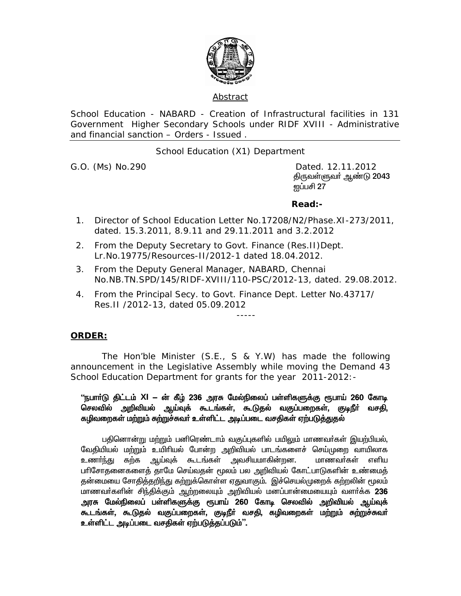

## Abstract

School Education - NABARD - Creation of Infrastructural facilities in 131 Government Higher Secondary Schools under RIDF XVIII - Administrative and financial sanction – Orders - Issued .

School Education (X1) Department

G.O. (Ms) No.290 Dated. 12.11.2012 திருவள்ளுவா் ஆண்டு 2043 <u>ன</u>ப்பசி 27

## **Read:-**

- 1. Director of School Education Letter No.17208/N2/Phase.XI-273/2011, dated. 15.3.2011, 8.9.11 and 29.11.2011 and 3.2.2012
- 2. From the Deputy Secretary to Govt. Finance (Res.II)Dept. Lr.No.19775/Resources-II/2012-1 dated 18.04.2012.

-----

- 3. From the Deputy General Manager, NABARD, Chennai No.NB.TN.SPD/145/RIDF-XVIII/110-PSC/2012-13, dated. 29.08.2012.
- 4. From the Principal Secy. to Govt. Finance Dept. Letter No.43717/ Res.II /2012-13, dated 05.09.2012

## **ORDER:**

 The Hon'ble Minister (S.E., S & Y.W) has made the following announcement in the Legislative Assembly while moving the Demand 43 School Education Department for grants for the year 2011-2012:-

## "நபாா்டு திட்டம் XI — ன் கீழ் 236 அரசு மேல்நிலைப் பள்ளிகளுக்கு ரூபாய் 260 கோடி செலவில் அறிவியல் ஆய்வுக் கூடங்கள், கூடுதல் வகுப்பறைகள், குடிநீர் வசதி, <u>கழிவறைகள் மற்று</u>ம் சுற்றுச்சுவர் உள்ளிட்ட அடிப்படை வசதிகள் ஏற்படுத்துதல்

பதினொன்று மற்றும் பனிரெண்டாம் வகுப்புகளில் பயிலும் மாணவர்கள் இயற்பியல், வேதியியல் மற்றும் உயிரியல் போன்ற அறிவியல் பாடங்களைச் செய்முறை வாயிலாக<br>உணர்ந்து கற்க ஆய்வுக் கூடங்கள் அவசியமாகின்றன. மாணவர்கள் எளிய உணர்ந்து கற்க ஆய்வுக் கூடங்கள் அவசியமாகின்றன. மாணவர்கள் எளிய பரிசோதனைகளைத் தாமே செய்வதன் மூலம் பல அறிவியல் கோட்பாடுகளின் உண்மைத் தன்மையை சோதித்தறிந்து கற்றுக்கொள்ள ஏதுவாகும். இச்செயல்முறைக் கற்றலின் மூலம் மாணவா்களின் சிந்திக்கும் ஆற்றலையும் அறிவியல் மனப்பான்மையையும் வளா்க்க 236 அரசு மேல்நிலைப் பள்ளிகளுக்கு ரூபாய் 260 கோடி செலவில் அறிவியல் ஆய்வுக் கூடங்கள், கூடுதல் வகுப்பறைகள், குடிநீர் வசதி, கழிவறைகள் மற்றும் சுற்றுச்சுவர் உள்ளிட்ட அடிப்படை வசதிகள் ஏற்படுத்தப்படும்''.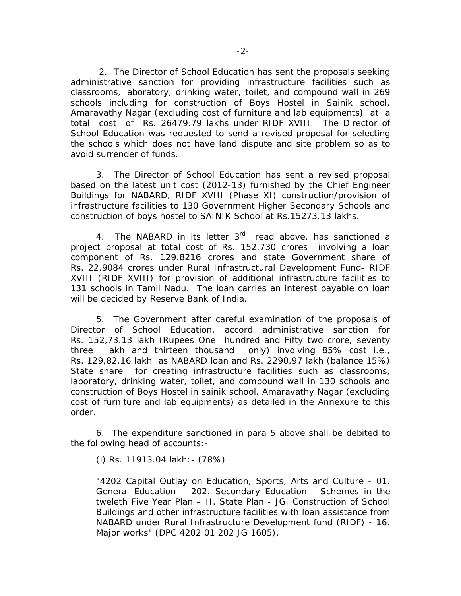2. The Director of School Education has sent the proposals seeking administrative sanction for providing infrastructure facilities such as classrooms, laboratory, drinking water, toilet, and compound wall in 269 schools including for construction of Boys Hostel in Sainik school, Amaravathy Nagar (excluding cost of furniture and lab equipments) at a total cost of Rs. 26479.79 lakhs under RIDF XVIII. The Director of School Education was requested to send a revised proposal for selecting the schools which does not have land dispute and site problem so as to avoid surrender of funds.

3. The Director of School Education has sent a revised proposal based on the latest unit cost (2012-13) furnished by the Chief Engineer Buildings for NABARD, RIDF XVIII (Phase XI) construction/provision of infrastructure facilities to 130 Government Higher Secondary Schools and construction of boys hostel to SAINIK School at Rs.15273.13 lakhs.

4. The NABARD in its letter 3<sup>rd</sup> read above, has sanctioned a project proposal at total cost of Rs. 152.730 crores involving a loan component of Rs. 129.8216 crores and state Government share of Rs. 22.9084 crores under Rural Infrastructural Development Fund- RIDF XVIII (RIDF XVIII) for provision of additional infrastructure facilities to 131 schools in Tamil Nadu. The loan carries an interest payable on loan will be decided by Reserve Bank of India.

 5. The Government after careful examination of the proposals of Director of School Education, accord administrative sanction for Rs. 152,73.13 lakh (Rupees One hundred and Fifty two crore, seventy three lakh and thirteen thousand only) involving 85% cost i.e., Rs. 129,82.16 lakh as NABARD loan and Rs. 2290.97 lakh (balance 15%) State share for creating infrastructure facilities such as classrooms, laboratory, drinking water, toilet, and compound wall in 130 schools and construction of Boys Hostel in sainik school, Amaravathy Nagar (excluding cost of furniture and lab equipments) as detailed in the Annexure to this order.

 6. The expenditure sanctioned in para 5 above shall be debited to the following head of accounts:-

(i) Rs. 11913.04 lakh:- (78%)

"4202 Capital Outlay on Education, Sports, Arts and Culture - 01. General Education – 202. Secondary Education - Schemes in the tweleth Five Year Plan – II. State Plan - JG. Construction of School Buildings and other infrastructure facilities with loan assistance from NABARD under Rural Infrastructure Development fund (RIDF) - 16. Major works" (DPC 4202 01 202 JG 1605).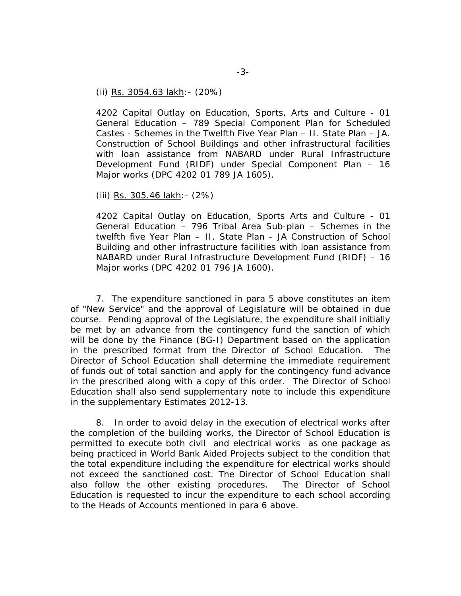(ii) Rs. 3054.63 lakh:- (20%)

4202 Capital Outlay on Education, Sports, Arts and Culture - 01 General Education – 789 Special Component Plan for Scheduled Castes - Schemes in the Twelfth Five Year Plan – II. State Plan – JA. Construction of School Buildings and other infrastructural facilities with loan assistance from NABARD under Rural Infrastructure Development Fund (RIDF) under Special Component Plan – 16 Major works (DPC 4202 01 789 JA 1605).

(iii) Rs. 305.46 lakh:- (2%)

4202 Capital Outlay on Education, Sports Arts and Culture - 01 General Education – 796 Tribal Area Sub-plan – Schemes in the twelfth five Year Plan – II. State Plan - JA Construction of School Building and other infrastructure facilities with loan assistance from NABARD under Rural Infrastructure Development Fund (RIDF) – 16 Major works (DPC 4202 01 796 JA 1600).

 7. The expenditure sanctioned in para 5 above constitutes an item of "New Service" and the approval of Legislature will be obtained in due course. Pending approval of the Legislature, the expenditure shall initially be met by an advance from the contingency fund the sanction of which will be done by the Finance (BG-I) Department based on the application in the prescribed format from the Director of School Education. The Director of School Education shall determine the immediate requirement of funds out of total sanction and apply for the contingency fund advance in the prescribed along with a copy of this order. The Director of School Education shall also send supplementary note to include this expenditure in the supplementary Estimates 2012-13.

8. In order to avoid delay in the execution of electrical works after the completion of the building works, the Director of School Education is permitted to execute both civil and electrical works as one package as being practiced in World Bank Aided Projects subject to the condition that the total expenditure including the expenditure for electrical works should not exceed the sanctioned cost. The Director of School Education shall also follow the other existing procedures. The Director of School Education is requested to incur the expenditure to each school according to the Heads of Accounts mentioned in para 6 above.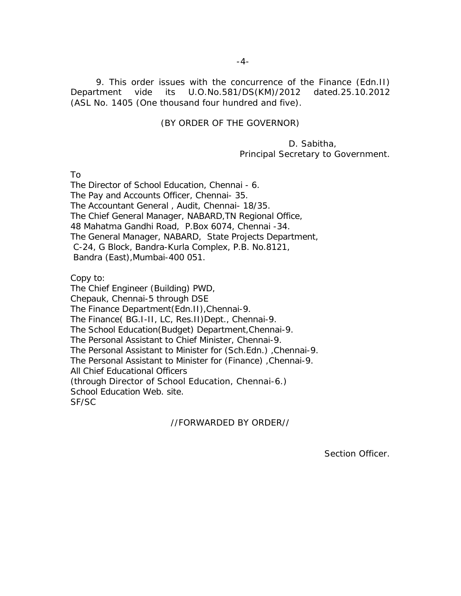9. This order issues with the concurrence of the Finance (Edn.II) Department vide its U.O.No.581/DS(KM)/2012 dated.25.10.2012 (ASL No. 1405 (One thousand four hundred and five).

#### (BY ORDER OF THE GOVERNOR)

 D. Sabitha, Principal Secretary to Government.

To

The Director of School Education, Chennai - 6. The Pay and Accounts Officer, Chennai- 35. The Accountant General , Audit, Chennai- 18/35. The Chief General Manager, NABARD,TN Regional Office, 48 Mahatma Gandhi Road, P.Box 6074, Chennai -34. The General Manager, NABARD, State Projects Department, C-24, G Block, Bandra-Kurla Complex, P.B. No.8121, Bandra (East),Mumbai-400 051.

Copy to:

The Chief Engineer (Building) PWD, Chepauk, Chennai-5 through DSE The Finance Department(Edn.II),Chennai-9. The Finance( BG.I-II, LC, Res.II)Dept., Chennai-9. The School Education(Budget) Department,Chennai-9. The Personal Assistant to Chief Minister, Chennai-9. The Personal Assistant to Minister for (Sch.Edn.) ,Chennai-9. The Personal Assistant to Minister for (Finance) ,Chennai-9. All Chief Educational Officers (through Director of School Education, Chennai-6.) School Education Web. site. SF/SC

## //FORWARDED BY ORDER//

Section Officer.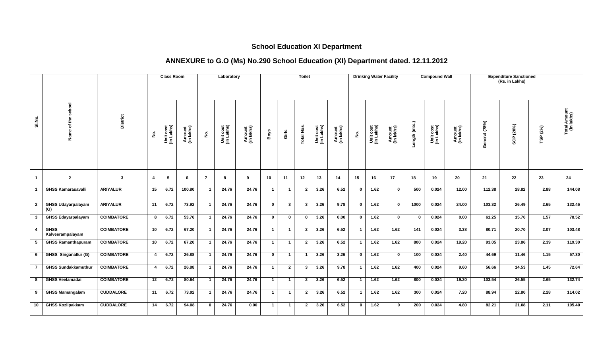# **School Education XI Department**

## **ANNEXURE to G.O (Ms) No.290 School Education (XI) Department dated. 12.11.2012**

|                |                                  |                   |                 | <b>Class Room</b>       |                      |                | Laboratory              |                      |                |                         | <b>Toilet</b>     |                         |                      |                | <b>Drinking Water Facility</b> |                      |               | <b>Compound Wall</b>    |                      |               | <b>Expenditure Sanctioned</b><br>(Rs. in Lakhs) |             |                            |
|----------------|----------------------------------|-------------------|-----------------|-------------------------|----------------------|----------------|-------------------------|----------------------|----------------|-------------------------|-------------------|-------------------------|----------------------|----------------|--------------------------------|----------------------|---------------|-------------------------|----------------------|---------------|-------------------------------------------------|-------------|----------------------------|
| SI.No.         | Name of the school               | <b>District</b>   | غ.              | Unit cost<br>(in Lakhs) | Amount<br>(in lakhs) | $\frac{1}{2}$  | Unit cost<br>(in Lakhs) | Amount<br>(in lakhs) | Boys           | Girls                   | <b>Total Nos.</b> | Unit cost<br>(in Lakhs) | Amount<br>(in lakhs) | $\frac{1}{2}$  | Unit cost<br>(in Lakhs)        | Amount<br>(in lakhs) | Length (mts.) | Unit cost<br>(in Lakhs) | Amount<br>(in lakhs) | General (78%) | SCP (20%)                                       | (2%)<br>TSP | Total Amount<br>(in lakhs) |
| $\mathbf{1}$   | $\mathbf{2}$                     | $\mathbf{3}$      | $\overline{a}$  | 5                       | -6                   | $\overline{7}$ | 8                       | 9                    | 10             | 11                      | 12                | 13                      | 14                   | 15             | 16                             | 17                   | 18            | 19                      | 20                   | 21            | $22 \,$                                         | 23          | 24                         |
| -1             | <b>GHSS Kamarasavalli</b>        | <b>ARIYALUR</b>   | 15              | 6.72                    | 100.80               | $\overline{1}$ | 24.76                   | 24.76                | 1              | $\overline{\mathbf{1}}$ | $\overline{2}$    | 3.26                    | 6.52                 | $\mathbf{0}$   | 1.62                           | $\mathbf{0}$         | 500           | 0.024                   | 12.00                | 112.38        | 28.82                                           | 2.88        | 144.08                     |
| $\overline{2}$ | <b>GHSS Udayarpalayam</b><br>(G) | <b>ARIYALUR</b>   | 11              | 6.72                    | 73.92                | $\overline{1}$ | 24.76                   | 24.76                | $\mathbf{0}$   | $\overline{\mathbf{3}}$ | $\mathbf{3}$      | 3.26                    | 9.78                 | $\mathbf 0$    | 1.62                           | $\mathbf 0$          | 1000          | 0.024                   | 24.00                | 103.32        | 26.49                                           | 2.65        | 132.46                     |
| $\mathbf{3}$   | <b>GHSS Edayarpalayam</b>        | <b>COIMBATORE</b> | 8               | 6.72                    | 53.76                | $\overline{1}$ | 24.76                   | 24.76                | $\mathbf{0}$   | $\mathbf 0$             | 0                 | 3.26                    | 0.00                 | $\mathbf{0}$   | 1.62                           | $\mathbf 0$          | $\bf{0}$      | 0.024                   | 0.00                 | 61.25         | 15.70                                           | 1.57        | 78.52                      |
| -4             | <b>GHSS</b><br>Kalveerampalayam  | <b>COIMBATORE</b> | 10 <sup>1</sup> | 6.72                    | 67.20                | $\mathbf{1}$   | 24.76                   | 24.76                | $\mathbf{1}$   | $\overline{1}$          | $\mathbf{2}$      | 3.26                    | 6.52                 | $\mathbf{1}$   | 1.62                           | 1.62                 | 141           | 0.024                   | 3.38                 | 80.71         | 20.70                                           | 2.07        | 103.48                     |
| 5              | <b>GHSS Ramanthapuram</b>        | <b>COIMBATORE</b> | 10 <sup>1</sup> | 6.72                    | 67.20                | $\mathbf{1}$   | 24.76                   | 24.76                | $\mathbf{1}$   | $\overline{1}$          | $\mathbf{2}$      | 3.26                    | 6.52                 | $\mathbf{1}$   | 1.62                           | 1.62                 | 800           | 0.024                   | 19.20                | 93.05         | 23.86                                           | 2.39        | 119.30                     |
| 6              | GHSS Singanallur (G)             | <b>COIMBATORE</b> | 4 <sup>1</sup>  | 6.72                    | 26.88                | $\mathbf{1}$   | 24.76                   | 24.76                | $\mathbf{0}$   | $\overline{1}$          | $\overline{1}$    | 3.26                    | 3.26                 | $\mathbf{0}$   | 1.62                           | $\mathbf 0$          | 100           | 0.024                   | 2.40                 | 44.69         | 11.46                                           | 1.15        | 57.30                      |
| $\overline{7}$ | <b>GHSS Sundakkamuthur</b>       | <b>COIMBATORE</b> | 4 <sup>1</sup>  | 6.72                    | 26.88                | $\mathbf{1}$   | 24.76                   | 24.76                | $\mathbf{1}$   | $\mathbf{2}$            | $\mathbf{3}$      | 3.26                    | 9.78                 | $\mathbf{1}$   | 1.62                           | 1.62                 | 400           | 0.024                   | 9.60                 | 56.66         | 14.53                                           | 1.45        | 72.64                      |
| 8              | <b>GHSS Veelamadai</b>           | <b>COIMBATORE</b> | 12              | 6.72                    | 80.64                | $\overline{1}$ | 24.76                   | 24.76                | $\vert$ 1      | $\overline{1}$          | $\mathbf{2}$      | 3.26                    | 6.52                 | $\mathbf{1}$   | 1.62                           | 1.62                 | 800           | 0.024                   | 19.20                | 103.54        | 26.55                                           | 2.65        | 132.74                     |
| 9              | <b>GHSS Mamangalam</b>           | <b>CUDDALORE</b>  | 11              | 6.72                    | 73.92                | $\overline{1}$ | 24.76                   | 24.76                | $\overline{1}$ | $\overline{1}$          | $\overline{2}$    | 3.26                    | 6.52                 | $\overline{1}$ | 1.62                           | 1.62                 | 300           | 0.024                   | 7.20                 | 88.94         | 22.80                                           | 2.28        | 114.02                     |
| 10             | <b>GHSS Kozlipakkam</b>          | <b>CUDDALORE</b>  | 14              | 6.72                    | 94.08                | $\mathbf 0$    | 24.76                   | 0.00                 | $\mathbf{1}$   | $\overline{1}$          | $\overline{2}$    | 3.26                    | 6.52                 | $\mathbf 0$    | 1.62                           | $\mathbf 0$          | 200           | 0.024                   | 4.80                 | 82.21         | 21.08                                           | 2.11        | 105.40                     |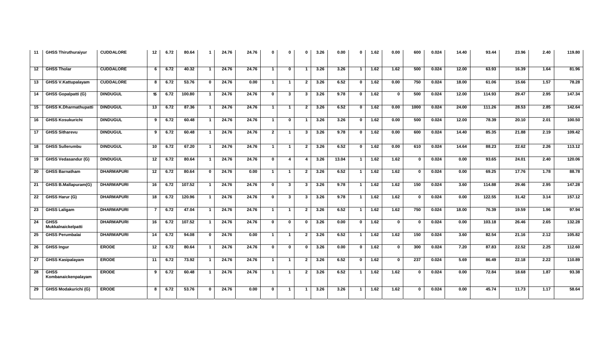| 11 | <b>GHSS Thiruthuraiyur</b>         | <b>CUDDALORE</b>  | 12              | 6.72 | 80.64  | $\mathbf{1}$   | 24.76 | 24.76 | $\mathbf 0$    | $\mathbf{0}$            | $\Omega$                | 3.26 | 0.00              | $\mathbf{0}$            | 1.62              | 0.00         | 600          | 0.024 | 14.40 | 93.44  | 23.96 | 2.40 | 119.80 |
|----|------------------------------------|-------------------|-----------------|------|--------|----------------|-------|-------|----------------|-------------------------|-------------------------|------|-------------------|-------------------------|-------------------|--------------|--------------|-------|-------|--------|-------|------|--------|
| 12 | <b>GHSS Tholar</b>                 | <b>CUDDALORE</b>  | 6               | 6.72 | 40.32  | $\overline{1}$ | 24.76 | 24.76 | $\mathbf{1}$   | $\mathbf 0$             | $\overline{\mathbf{1}}$ | 3.26 | 3.26              |                         | $\overline{1.62}$ | 1.62         | 500          | 0.024 | 12.00 | 63.93  | 16.39 | 1.64 | 81.96  |
| 13 | <b>GHSS V.Kattupalayam</b>         | <b>CUDDALORE</b>  | 8               | 6.72 | 53.76  | $\mathbf{0}$   | 24.76 | 0.00  | $\mathbf{1}$   | $\overline{1}$          | $\overline{2}$          | 3.26 | 6.52              | $\mathbf{0}$            | 1.62              | 0.00         | 750          | 0.024 | 18.00 | 61.06  | 15.66 | 1.57 | 78.28  |
| 14 | <b>GHSS Gopalpatti (G)</b>         | <b>DINDUGUL</b>   | 15              | 6.72 | 100.80 | $\overline{1}$ | 24.76 | 24.76 | $\mathbf{0}$   | $\mathbf{3}$            | 3                       | 3.26 | 9.78              | $\mathbf{0}$            | 1.62              | $\mathbf{0}$ | 500          | 0.024 | 12.00 | 114.93 | 29.47 | 2.95 | 147.34 |
| 15 | <b>GHSS K.Dharmathupatti</b>       | <b>DINDUGUL</b>   | 13              | 6.72 | 87.36  | $\overline{1}$ | 24.76 | 24.76 | $\mathbf{1}$   | $\overline{1}$          | $\overline{2}$          | 3.26 | 6.52              | $\bf{0}$                | 1.62              | 0.00         | 1000         | 0.024 | 24.00 | 111.26 | 28.53 | 2.85 | 142.64 |
| 16 | <b>GHSS Kosukurichi</b>            | <b>DINDUGUL</b>   | 9               | 6.72 | 60.48  | $\overline{1}$ | 24.76 | 24.76 | $\mathbf 1$    | $\mathbf{0}$            | -1                      | 3.26 | 3.26              | $\mathbf{0}$            | 1.62              | 0.00         | 500          | 0.024 | 12.00 | 78.39  | 20.10 | 2.01 | 100.50 |
| 17 | <b>GHSS Sitharevu</b>              | <b>DINDUGUL</b>   | 9               | 6.72 | 60.48  | $\overline{1}$ | 24.76 | 24.76 | $\overline{2}$ | $\overline{1}$          | $\mathbf{3}$            | 3.26 | 9.78              | $\bf{0}$                | 1.62              | 0.00         | 600          | 0.024 | 14.40 | 85.35  | 21.88 | 2.19 | 109.42 |
| 18 | <b>GHSS Sullerumbu</b>             | <b>DINDUGUL</b>   | 10              | 6.72 | 67.20  | $\overline{1}$ | 24.76 | 24.76 | $\mathbf 1$    | $\overline{1}$          | $\overline{2}$          | 3.26 | 6.52              | $\mathbf{0}$            | $\overline{1.62}$ | 0.00         | 610          | 0.024 | 14.64 | 88.23  | 22.62 | 2.26 | 113.12 |
| 19 | <b>GHSS Vedasandur (G)</b>         | <b>DINDUGUL</b>   | 12              | 6.72 | 80.64  | $\overline{1}$ | 24.76 | 24.76 | $\mathbf 0$    | $\mathbf{4}$            | 4                       | 3.26 | 13.04             | $\blacktriangleleft$    | 1.62              | 1.62         | $\mathbf{0}$ | 0.024 | 0.00  | 93.65  | 24.01 | 2.40 | 120.06 |
| 20 | <b>GHSS Barnatham</b>              | <b>DHARMAPURI</b> | 12 <sub>2</sub> | 6.72 | 80.64  | $\mathbf{0}$   | 24.76 | 0.00  | $\mathbf{1}$   | $\overline{1}$          | $\overline{2}$          | 3.26 | 6.52              | $\overline{1}$          | 1.62              | 1.62         | $\Omega$     | 0.024 | 0.00  | 69.25  | 17.76 | 1.78 | 88.78  |
| 21 | GHSS B.Mallapuram(G)               | <b>DHARMAPURI</b> | 16              | 6.72 | 107.52 | $\overline{1}$ | 24.76 | 24.76 | $\mathbf 0$    | $3^{\circ}$             | 3                       | 3.26 | 9.78              | $\mathbf{1}$            | 1.62              | 1.62         | 150          | 0.024 | 3.60  | 114.88 | 29.46 | 2.95 | 147.28 |
| 22 | GHSS Harur (G)                     | <b>DHARMAPURI</b> | 18              | 6.72 | 120.96 | $\mathbf{1}$   | 24.76 | 24.76 | $\mathbf 0$    | $3^{\circ}$             | 3                       | 3.26 | 9.78              | $\overline{\mathbf{1}}$ | 1.62              | 1.62         |              | 0.024 | 0.00  | 122.55 | 31.42 | 3.14 | 157.12 |
| 23 | <b>GHSS Laligam</b>                | <b>DHARMAPURI</b> | 7               | 6.72 | 47.04  | $\mathbf{1}$   | 24.76 | 24.76 | $\mathbf{1}$   | $\overline{1}$          | $\mathbf{2}$            | 3.26 | 6.52              | -1                      | 1.62              | 1.62         | 750          | 0.024 | 18.00 | 76.39  | 19.59 | 1.96 | 97.94  |
| 24 | <b>GHSS</b><br>Mukkalnaickelpatti  | <b>DHARMAPURI</b> | 16              | 6.72 | 107.52 | $\overline{1}$ | 24.76 | 24.76 | $\mathbf{0}$   | $\mathbf 0$             | $\mathbf 0$             | 3.26 | 0.00              | $\mathbf 0$             | 1.62              | $\mathbf 0$  | $\Omega$     | 0.024 | 0.00  | 103.18 | 26.46 | 2.65 | 132.28 |
| 25 | <b>GHSS Perumbalai</b>             | <b>DHARMAPURI</b> | 14              | 6.72 | 94.08  | $\mathbf 0$    | 24.76 | 0.00  | $\mathbf{1}$   | $\overline{1}$          | $\overline{2}$          | 3.26 | 6.52              | $\mathbf{1}$            | 1.62              | 1.62         | 150          | 0.024 | 3.60  | 82.54  | 21.16 | 2.12 | 105.82 |
| 26 | <b>GHSS Ingur</b>                  | <b>ERODE</b>      | 12              | 6.72 | 80.64  | $\overline{1}$ | 24.76 | 24.76 | $\mathbf{0}$   | $\mathbf{0}$            | $\mathbf 0$             | 3.26 | $\overline{0.00}$ | $\mathbf{0}$            | 1.62              | $\mathbf 0$  | 300          | 0.024 | 7.20  | 87.83  | 22.52 | 2.25 | 112.60 |
| 27 | <b>GHSS Kasipalayam</b>            | <b>ERODE</b>      | 11              | 6.72 | 73.92  | $\overline{1}$ | 24.76 | 24.76 | $\mathbf{1}$   | $\overline{1}$          | $\overline{2}$          | 3.26 | 6.52              | $\mathbf{0}$            | 1.62              | $\mathbf{0}$ | 237          | 0.024 | 5.69  | 86.49  | 22.18 | 2.22 | 110.89 |
| 28 | <b>GHSS</b><br>Kombanaickenpalayam | <b>ERODE</b>      | 9               | 6.72 | 60.48  | $\mathbf{1}$   | 24.76 | 24.76 | $\mathbf{1}$   | $\overline{1}$          | $\mathbf{2}$            | 3.26 | 6.52              | $\mathbf 1$             | 1.62              | 1.62         | $\Omega$     | 0.024 | 0.00  | 72.84  | 18.68 | 1.87 | 93.38  |
| 29 | <b>GHSS Modakurichi (G)</b>        | <b>ERODE</b>      | 8               | 6.72 | 53.76  | $\mathbf 0$    | 24.76 | 0.00  | $\mathbf 0$    | $\overline{\mathbf{1}}$ | 1                       | 3.26 | 3.26              |                         | 1.62              | 1.62         |              | 0.024 | 0.00  | 45.74  | 11.73 | 1.17 | 58.64  |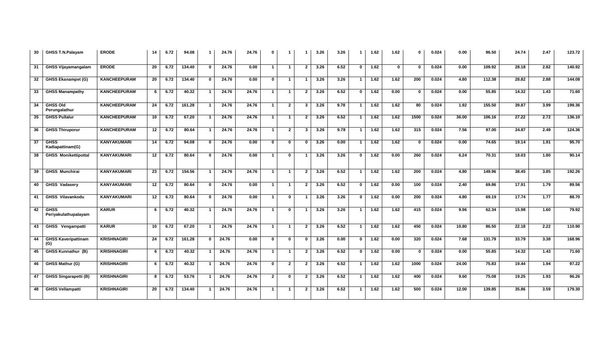| 30 | GHSS T.N.Palayam                    | <b>ERODE</b>        | 14              | 6.72 | 94.08  | $\mathbf 1$    | 24.76 | 24.76 | $\mathbf 0$  | -1                      | -1                      | 3.26 | 3.26 |              | 1.62 | 1.62        | $\mathbf{0}$     | 0.024 | 0.00  | 96.50  | 24.74              | 2.47 | 123.72 |
|----|-------------------------------------|---------------------|-----------------|------|--------|----------------|-------|-------|--------------|-------------------------|-------------------------|------|------|--------------|------|-------------|------------------|-------|-------|--------|--------------------|------|--------|
| 31 | <b>GHSS Vijayamangalam</b>          | <b>ERODE</b>        | 20              | 6.72 | 134.40 | $\mathbf 0$    | 24.76 | 0.00  | $\mathbf{1}$ | $\overline{\mathbf{1}}$ | $\mathbf{2}$            | 3.26 | 6.52 | $\mathbf{0}$ | 1.62 | $\mathbf 0$ | $\Omega$         | 0.024 | 0.00  | 109.92 | 28.18              | 2.82 | 140.92 |
| 32 | <b>GHSS Ekanampet (G)</b>           | <b>KANCHEEPURAM</b> | 20              | 6.72 | 134.40 | $\mathbf 0$    | 24.76 | 0.00  | $\mathbf 0$  | $\overline{1}$          | -1                      | 3.26 | 3.26 | -1           | 1.62 | 1.62        | 200              | 0.024 | 4.80  | 112.38 | 28.82              | 2.88 | 144.08 |
| 33 | <b>GHSS Manampathy</b>              | <b>KANCHEEPURAM</b> | 6               | 6.72 | 40.32  | $\mathbf{1}$   | 24.76 | 24.76 | $\mathbf{1}$ | $\overline{1}$          | $\mathbf{2}$            | 3.26 | 6.52 | $\mathbf{0}$ | 1.62 | 0.00        | <sup>0</sup>     | 0.024 | 0.00  | 55.85  | 14.32              | 1.43 | 71.60  |
| 34 | <b>GHSS Old</b><br>Perungalathur    | <b>KANCHEEPURAM</b> | 24              | 6.72 | 161.28 | $\overline{1}$ | 24.76 | 24.76 | $\mathbf{1}$ | $\mathbf{2}$            | $\mathbf{3}$            | 3.26 | 9.78 | -1           | 1.62 | 1.62        | 80               | 0.024 | 1.92  | 155.50 | 39.87              | 3.99 | 199.36 |
| 35 | <b>GHSS Pullalur</b>                | <b>KANCHEEPURAM</b> | 10 <sup>1</sup> | 6.72 | 67.20  | $\mathbf{1}$   | 24.76 | 24.76 | $\mathbf{1}$ | $\blacksquare$          | $\mathbf{2}$            | 3.26 | 6.52 |              | 1.62 | 1.62        | 1500             | 0.024 | 36.00 | 106.16 | $\overline{27.22}$ | 2.72 | 136.10 |
| 36 | <b>GHSS Thiruporur</b>              | <b>KANCHEEPURAM</b> | 12              | 6.72 | 80.64  | $\overline{1}$ | 24.76 | 24.76 | $\mathbf{1}$ | $\mathbf{2}$            | $\mathbf{3}$            | 3.26 | 9.78 | $\mathbf 1$  | 1.62 | 1.62        | 315              | 0.024 | 7.56  | 97.00  | 24.87              | 2.49 | 124.36 |
| 37 | <b>GHSS</b><br>Kadiapattinam(G)     | <b>KANYAKUMARI</b>  | 14              | 6.72 | 94.08  | $\mathbf 0$    | 24.76 | 0.00  | $\mathbf 0$  | $\mathbf{0}$            | $\bf{0}$                | 3.26 | 0.00 | -1           | 1.62 | 1.62        | <sup>0</sup>     | 0.024 | 0.00  | 74.65  | 19.14              | 1.91 | 95.70  |
| 38 | <b>GHSS Monikettipottal</b>         | <b>KANYAKUMARI</b>  | 12 <sub>2</sub> | 6.72 | 80.64  | $\mathbf 0$    | 24.76 | 0.00  | $\mathbf{1}$ | $\mathbf{0}$            | $\overline{\mathbf{1}}$ | 3.26 | 3.26 | $\mathbf 0$  | 1.62 | 0.00        | 260              | 0.024 | 6.24  | 70.31  | 18.03              | 1.80 | 90.14  |
| 39 | <b>GHSS Munchirai</b>               | <b>KANYAKUMARI</b>  | 23              | 6.72 | 154.56 | $\overline{1}$ | 24.76 | 24.76 | $\mathbf{1}$ | $\overline{1}$          | $\overline{2}$          | 3.26 | 6.52 | -1           | 1.62 | 1.62        | $\overline{200}$ | 0.024 | 4.80  | 149.96 | 38.45              | 3.85 | 192.26 |
| 40 | <b>GHSS Vadasery</b>                | KANYAKUMARI         | 12 <sub>2</sub> | 6.72 | 80.64  | $\mathbf 0$    | 24.76 | 0.00  | $\mathbf{1}$ | $\mathbf{1}$            | $\mathbf{2}$            | 3.26 | 6.52 | $\mathbf{0}$ | 1.62 | 0.00        | 100              | 0.024 | 2.40  | 69.86  | 17.91              | 1.79 | 89.56  |
| 41 | <b>GHSS Vilavankodu</b>             | <b>KANYAKUMARI</b>  | 12              | 6.72 | 80.64  | $\mathbf 0$    | 24.76 | 0.00  | $\mathbf 1$  | $\bf{0}$                | -1                      | 3.26 | 3.26 | $\bf{0}$     | 1.62 | 0.00        | 200              | 0.024 | 4.80  | 69.19  | 17.74              | 1.77 | 88.70  |
| 42 | <b>GHSS</b><br>Perivakulathupalayam | <b>KARUR</b>        | 6               | 6.72 | 40.32  | $\overline{1}$ | 24.76 | 24.76 | $\mathbf{1}$ | $\bf{0}$                | -1                      | 3.26 | 3.26 | $\mathbf{1}$ | 1.62 | 1.62        | 415              | 0.024 | 9.96  | 62.34  | 15.98              | 1.60 | 79.92  |
| 43 | GHSS Vengampatti                    | <b>KARUR</b>        | 10              | 6.72 | 67.20  | $\overline{1}$ | 24.76 | 24.76 | $\mathbf{1}$ | $\overline{1}$          | $\overline{2}$          | 3.26 | 6.52 |              | 1.62 | 1.62        | 450              | 0.024 | 10.80 | 86.50  | 22.18              | 2.22 | 110.90 |
| 44 | <b>GHSS Kaveripattinam</b><br>(G)   | <b>KRISHNAGIRI</b>  | 24              | 6.72 | 161.28 | $\mathbf{0}$   | 24.76 | 0.00  | $\mathbf 0$  | $\bf{0}$                | $\mathbf{0}$            | 3.26 | 0.00 | $\mathbf{0}$ | 1.62 | 0.00        | 320              | 0.024 | 7.68  | 131.79 | 33.79              | 3.38 | 168.96 |
| 45 | <b>GHSS Kunnathur (B)</b>           | <b>KRISHNAGIRI</b>  | 6               | 6.72 | 40.32  | $\overline{1}$ | 24.76 | 24.76 | $\mathbf{1}$ | $\mathbf{1}$            | $\overline{2}$          | 3.26 | 6.52 | $\mathbf 0$  | 1.62 | 0.00        | 0                | 0.024 | 0.00  | 55.85  | 14.32              | 1.43 | 71.60  |
| 46 | GHSS Mathur (G)                     | <b>KRISHNAGIRI</b>  | 6               | 6.72 | 40.32  | $\mathbf{1}$   | 24.76 | 24.76 | $\mathbf 0$  | $\mathbf{2}$            | $\mathbf{2}$            | 3.26 | 6.52 |              | 1.62 | 1.62        | 1000             | 0.024 | 24.00 | 75.83  | 19.44              | 1.94 | 97.22  |
| 47 | <b>GHSS Singarapetti (B)</b>        | <b>KRISHNAGIRI</b>  | 8               | 6.72 | 53.76  | $\mathbf{1}$   | 24.76 | 24.76 | $\mathbf{2}$ | $\bf{0}$                | $\mathbf{2}$            | 3.26 | 6.52 |              | 1.62 | 1.62        | 400              | 0.024 | 9.60  | 75.08  | 19.25              | 1.93 | 96.26  |
| 48 | <b>GHSS Vellampatti</b>             | <b>KRISHNAGIRI</b>  | 20              | 6.72 | 134.40 | $\mathbf 1$    | 24.76 | 24.76 | $\mathbf 1$  | $\mathbf 1$             | $\mathbf{2}$            | 3.26 | 6.52 |              | 1.62 | 1.62        | 500              | 0.024 | 12.00 | 139.85 | 35.86              | 3.59 | 179.30 |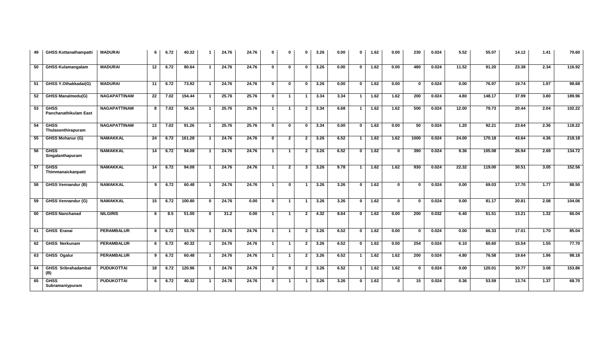| 49 | <b>GHSS Kottanathampatti</b>                | <b>MADURAI</b>      | 6  | 6.72 | 40.32  | $\mathbf 1$    | 24.76 | 24.76 | $\mathbf 0$    | $\Omega$       | $\mathbf{0}$            | 3.26 | 0.00 | $\mathbf 0$    | 1.62              | 0.00         | 230              | 0.024 | 5.52  | 55.07  | 14.12 | 1.41              | 70.60  |
|----|---------------------------------------------|---------------------|----|------|--------|----------------|-------|-------|----------------|----------------|-------------------------|------|------|----------------|-------------------|--------------|------------------|-------|-------|--------|-------|-------------------|--------|
| 50 | <b>GHSS Kulamangalam</b>                    | <b>MADURAI</b>      | 12 | 6.72 | 80.64  | $\mathbf{1}$   | 24.76 | 24.76 | $\mathbf 0$    | $\bf{0}$       | $\bf{0}$                | 3.26 | 0.00 | $\mathbf 0$    | 1.62              | 0.00         | 480              | 0.024 | 11.52 | 91.20  | 23.38 | 2.34              | 116.92 |
| 51 | GHSS Y.Othakkadai(G)                        | <b>MADURAI</b>      | 11 | 6.72 | 73.92  | $\overline{1}$ | 24.76 | 24.76 | $\mathbf 0$    | $\mathbf 0$    | $\mathbf{0}$            | 3.26 | 0.00 | $\mathbf 0$    | 1.62              | 0.00         | $\mathbf{0}$     | 0.024 | 0.00  | 76.97  | 19.74 | 1.97              | 98.68  |
| 52 | <b>GHSS Manalmedu(G)</b>                    | <b>NAGAPATTINAM</b> | 22 | 7.02 | 154.44 | $\mathbf{1}$   | 25.76 | 25.76 | $\mathbf 0$    | $\mathbf{1}$   | -1                      | 3.34 | 3.34 | $\mathbf{1}$   | 1.62              | 1.62         | 200              | 0.024 | 4.80  | 148.17 | 37.99 | 3.80              | 189.96 |
| 53 | <b>GHSS</b><br><b>Panchanathikulam East</b> | <b>NAGAPATTINAM</b> | 8  | 7.02 | 56.16  | $\overline{1}$ | 25.76 | 25.76 | $\mathbf{1}$   | $\overline{1}$ | $\mathbf{2}$            | 3.34 | 6.68 | $\overline{1}$ | 1.62              | 1.62         | 500              | 0.024 | 12.00 | 79.73  | 20.44 | 2.04              | 102.22 |
| 54 | <b>GHSS</b><br>Thulasenthirapuram           | <b>NAGAPATTINAM</b> | 13 | 7.02 | 91.26  | $\overline{1}$ | 25.76 | 25.76 | $\mathbf 0$    | $\bf{0}$       | $\Omega$                | 3.34 | 0.00 | $\mathbf{0}$   | 1.62              | 0.00         | 50               | 0.024 | 1.20  | 92.21  | 23.64 | 2.36              | 118.22 |
| 55 | GHSS Mohanur (G)                            | <b>NAMAKKAL</b>     | 24 | 6.72 | 161.28 | $\overline{1}$ | 24.76 | 24.76 | $\mathbf 0$    | $\mathbf{2}$   | $\overline{2}$          | 3.26 | 6.52 |                | 1.62              | 1.62         | 1000             | 0.024 | 24.00 | 170.18 | 43.64 | 4.36              | 218.18 |
| 56 | <b>GHSS</b><br>Singalanthapuram             | <b>NAMAKKAL</b>     | 14 | 6.72 | 94.08  | $\overline{1}$ | 24.76 | 24.76 | $\mathbf{1}$   | $\mathbf{1}$   | $\mathbf{2}$            | 3.26 | 6.52 | $\mathbf 0$    | 1.62              | $\bf{0}$     | 390              | 0.024 | 9.36  | 105.08 | 26.94 | 2.69              | 134.72 |
| 57 | <b>GHSS</b><br>Thimmanaickanpatti           | <b>NAMAKKAL</b>     | 14 | 6.72 | 94.08  | $\overline{1}$ | 24.76 | 24.76 | $\mathbf{1}$   | $\mathbf{2}$   | 3                       | 3.26 | 9.78 | $\mathbf{1}$   | 1.62              | 1.62         | 930              | 0.024 | 22.32 | 119.00 | 30.51 | 3.05              | 152.56 |
| 58 | <b>GHSS Vennandur (B)</b>                   | <b>NAMAKKAL</b>     | 9  | 6.72 | 60.48  | $\overline{1}$ | 24.76 | 24.76 | $\mathbf{1}$   | $\mathbf{0}$   | $\overline{1}$          | 3.26 | 3.26 | $\mathbf 0$    | 1.62              | $\mathbf{0}$ | $\bf{0}$         | 0.024 | 0.00  | 69.03  | 17.70 | $\overline{1.77}$ | 88.50  |
| 59 | <b>GHSS Vennandur (G)</b>                   | <b>NAMAKKAL</b>     | 15 | 6.72 | 100.80 | $\mathbf{0}$   | 24.76 | 0.00  | $\mathbf 0$    | $\overline{1}$ | $\overline{1}$          | 3.26 | 3.26 | $\mathbf{0}$   | 1.62              | $\bf{0}$     | $\mathbf{0}$     | 0.024 | 0.00  | 81.17  | 20.81 | 2.08              | 104.06 |
| 60 | <b>GHSS Nanchanad</b>                       | <b>NILGIRIS</b>     | 6  | 8.5  | 51.00  | $\mathbf{0}$   | 31.2  | 0.00  | $\mathbf{1}$   | $\mathbf{1}$   | $\overline{2}$          | 4.32 | 8.64 | $\mathbf{0}$   | 1.62              | 0.00         | $\overline{200}$ | 0.032 | 6.40  | 51.51  | 13.21 | 1.32              | 66.04  |
| 61 | <b>GHSS Eranai</b>                          | <b>PERAMBALUR</b>   | 8  | 6.72 | 53.76  | $\mathbf{1}$   | 24.76 | 24.76 | $\mathbf{1}$   | $\mathbf{1}$   | $\mathbf{2}$            | 3.26 | 6.52 | $\mathbf{0}$   | 1.62              | 0.00         | $\mathbf{0}$     | 0.024 | 0.00  | 66.33  | 17.01 | 1.70              | 85.04  |
| 62 | <b>GHSS Nerkunam</b>                        | <b>PERAMBALUR</b>   | 6  | 6.72 | 40.32  | $\overline{1}$ | 24.76 | 24.76 | $\overline{1}$ | $\overline{1}$ | $\overline{2}$          | 3.26 | 6.52 | $\mathbf{0}$   | $\overline{1.62}$ | 0.00         | 254              | 0.024 | 6.10  | 60.60  | 15.54 | 1.55              | 77.70  |
| 63 | <b>GHSS Ogalur</b>                          | <b>PERAMBALUR</b>   | 9  | 6.72 | 60.48  | $\overline{1}$ | 24.76 | 24.76 | $\mathbf{1}$   | $\overline{1}$ | $\mathbf{2}$            | 3.26 | 6.52 | $\mathbf{1}$   | 1.62              | 1.62         | 200              | 0.024 | 4.80  | 76.58  | 19.64 | $\overline{1.96}$ | 98.18  |
| 64 | <b>GHSS Sribrahadambal</b><br>(B)           | <b>PUDUKOTTAI</b>   | 18 | 6.72 | 120.96 | $\overline{1}$ | 24.76 | 24.76 | $\overline{2}$ | $\mathbf 0$    | $\overline{2}$          | 3.26 | 6.52 | $\overline{1}$ | 1.62              | 1.62         | $\mathbf{0}$     | 0.024 | 0.00  | 120.01 | 30.77 | 3.08              | 153.86 |
| 65 | <b>GHSS</b><br>Subramaniypuram              | <b>PUDUKOTTAI</b>   | 6  | 6.72 | 40.32  | $\mathbf{1}$   | 24.76 | 24.76 | $\mathbf 0$    | $\mathbf{1}$   | $\overline{\mathbf{1}}$ | 3.26 | 3.26 | $\mathbf 0$    | 1.62              | $\mathbf 0$  | 15               | 0.024 | 0.36  | 53.59  | 13.74 | $\overline{1.37}$ | 68.70  |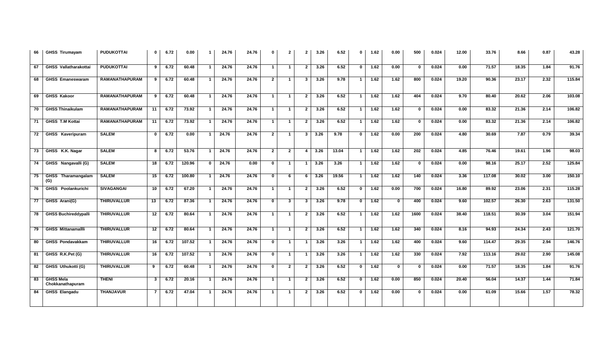| 66   | <b>GHSS Tirumayam</b>                | <b>PUDUKOTTAI</b>     | $\mathbf 0$     | 6.72 | 0.00   | $\mathbf{1}$   | 24.76 | 24.76 | $\mathbf 0$  | $\mathbf{2}$   | $\overline{2}$ | 3.26 | 6.52  | $\mathbf 0$    | 1.62 | 0.00        | 500          | 0.024 | 12.00 | 33.76  | 8.66  | 0.87 | 43.28  |
|------|--------------------------------------|-----------------------|-----------------|------|--------|----------------|-------|-------|--------------|----------------|----------------|------|-------|----------------|------|-------------|--------------|-------|-------|--------|-------|------|--------|
| 67   | GHSS Vallatharakottai                | <b>PUDUKOTTAI</b>     | 9               | 6.72 | 60.48  | $\overline{1}$ | 24.76 | 24.76 | $\mathbf{1}$ | $\overline{1}$ | $\overline{2}$ | 3.26 | 6.52  | $\mathbf 0$    | 1.62 | 0.00        | $\mathbf{0}$ | 0.024 | 0.00  | 71.57  | 18.35 | 1.84 | 91.76  |
| 68   | <b>GHSS Emaneswaram</b>              | <b>RAMANATHAPURAM</b> | 9               | 6.72 | 60.48  | $\mathbf{1}$   | 24.76 | 24.76 | $\mathbf{2}$ | $\mathbf{1}$   | 3              | 3.26 | 9.78  | $\mathbf{1}$   | 1.62 | 1.62        | 800          | 0.024 | 19.20 | 90.36  | 23.17 | 2.32 | 115.84 |
| 69   | <b>GHSS Kakoor</b>                   | <b>RAMANATHAPURAM</b> | 9               | 6.72 | 60.48  | $\overline{1}$ | 24.76 | 24.76 | $\mathbf{1}$ | $\mathbf{1}$   | $\mathbf{2}$   | 3.26 | 6.52  | -1             | 1.62 | 1.62        | 404          | 0.024 | 9.70  | 80.40  | 20.62 | 2.06 | 103.08 |
| 70   | <b>GHSS Thinaikulam</b>              | <b>RAMANATHAPURAM</b> | 11              | 6.72 | 73.92  | $\overline{1}$ | 24.76 | 24.76 | $\mathbf{1}$ | $\mathbf{1}$   | $\overline{2}$ | 3.26 | 6.52  |                | 1.62 | 1.62        | $\Omega$     | 0.024 | 0.00  | 83.32  | 21.36 | 2.14 | 106.82 |
| 71   | <b>GHSS T.M Kottai</b>               | <b>RAMANATHAPURAM</b> | 11              | 6.72 | 73.92  | $\overline{1}$ | 24.76 | 24.76 | $\mathbf{1}$ | $\mathbf{1}$   | $\overline{2}$ | 3.26 | 6.52  | $\mathbf 1$    | 1.62 | 1.62        | $\mathbf 0$  | 0.024 | 0.00  | 83.32  | 21.36 | 2.14 | 106.82 |
| 72   | <b>GHSS Kaveripuram</b>              | <b>SALEM</b>          | $\bf{0}$        | 6.72 | 0.00   | $\overline{1}$ | 24.76 | 24.76 | $2^{\circ}$  | $\mathbf{1}$   | $\mathbf{3}$   | 3.26 | 9.78  | $\mathbf{0}$   | 1.62 | 0.00        | 200          | 0.024 | 4.80  | 30.69  | 7.87  | 0.79 | 39.34  |
| 73   | GHSS K.K. Nagar                      | <b>SALEM</b>          | 8               | 6.72 | 53.76  | $\overline{1}$ | 24.76 | 24.76 | $\mathbf{2}$ | $\overline{2}$ | 4              | 3.26 | 13.04 | $\overline{1}$ | 1.62 | 1.62        | 202          | 0.024 | 4.85  | 76.46  | 19.61 | 1.96 | 98.03  |
| 74   | GHSS Nangavalli (G)                  | <b>SALEM</b>          | 18              | 6.72 | 120.96 | $\mathbf 0$    | 24.76 | 0.00  | $\mathbf{0}$ | $\mathbf{1}$   | -1             | 3.26 | 3.26  | $\mathbf{1}$   | 1.62 | 1.62        | $\mathbf{0}$ | 0.024 | 0.00  | 98.16  | 25.17 | 2.52 | 125.84 |
| 75   | GHSS Tharamangalam<br>(G)            | <b>SALEM</b>          | 15              | 6.72 | 100.80 | $\overline{1}$ | 24.76 | 24.76 | $\mathbf 0$  | 6              | 6              | 3.26 | 19.56 | $\mathbf{1}$   | 1.62 | 1.62        | 140          | 0.024 | 3.36  | 117.08 | 30.02 | 3.00 | 150.10 |
| 76   | <b>GHSS</b> Poolankurichi            | <b>SIVAGANGAI</b>     | 10 <sup>1</sup> | 6.72 | 67.20  | $\overline{1}$ | 24.76 | 24.76 | $\mathbf{1}$ | $\mathbf{1}$   | $\mathbf{2}$   | 3.26 | 6.52  | $\mathbf{0}$   | 1.62 | 0.00        | 700          | 0.024 | 16.80 | 89.92  | 23.06 | 2.31 | 115.28 |
| 77   | GHSS Arani(G)                        | <b>THIRUVALLUR</b>    | 13              | 6.72 | 87.36  | $\mathbf{1}$   | 24.76 | 24.76 | $\mathbf 0$  | $\mathbf{3}$   | 3              | 3.26 | 9.78  | $\mathbf 0$    | 1.62 | $\mathbf 0$ | 400          | 0.024 | 9.60  | 102.57 | 26.30 | 2.63 | 131.50 |
| 78   | <b>GHSS Buchireddypalli</b>          | <b>THIRUVALLUR</b>    | 12              | 6.72 | 80.64  | $\mathbf{1}$   | 24.76 | 24.76 | $\mathbf{1}$ | $\overline{1}$ | $\overline{2}$ | 3.26 | 6.52  | $\mathbf{1}$   | 1.62 | 1.62        | 1600         | 0.024 | 38.40 | 118.51 | 30.39 | 3.04 | 151.94 |
| 79   | <b>GHSS Mittanamallli</b>            | <b>THIRUVALLUR</b>    | 12              | 6.72 | 80.64  | $\overline{1}$ | 24.76 | 24.76 | $\mathbf{1}$ | $\mathbf{1}$   | $\overline{2}$ | 3.26 | 6.52  | $\mathbf{1}$   | 1.62 | 1.62        | 340          | 0.024 | 8.16  | 94.93  | 24.34 | 2.43 | 121.70 |
| 80   | <b>GHSS Pondavakkam</b>              | <b>THIRUVALLUR</b>    | 16              | 6.72 | 107.52 | $\overline{1}$ | 24.76 | 24.76 | $\mathbf{0}$ | $\overline{1}$ | $\overline{1}$ | 3.26 | 3.26  | $\mathbf{1}$   | 1.62 | 1.62        | 400          | 0.024 | 9.60  | 114.47 | 29.35 | 2.94 | 146.76 |
| - 81 | GHSS R.K.Pet (G)                     | <b>THIRUVALLUR</b>    | 16              | 6.72 | 107.52 | $\mathbf{1}$   | 24.76 | 24.76 | $\bullet$    | $\mathbf{1}$   | $\overline{1}$ | 3.26 | 3.26  | $\mathbf{1}$   | 1.62 | 1.62        | 330          | 0.024 | 7.92  | 113.16 | 29.02 | 2.90 | 145.08 |
| 82   | GHSS Uthukotti (G)                   | <b>THIRUVALLUR</b>    | 9               | 6.72 | 60.48  | $\overline{1}$ | 24.76 | 24.76 | $\mathbf 0$  | $\overline{2}$ | $\overline{2}$ | 3.26 | 6.52  | $\mathbf 0$    | 1.62 | $\bf{0}$    | $\Omega$     | 0.024 | 0.00  | 71.57  | 18.35 | 1.84 | 91.76  |
| 83   | <b>GHSS Mela</b><br>Chokkanathapuram | <b>THENI</b>          | $\mathbf{3}$    | 6.72 | 20.16  | $\overline{1}$ | 24.76 | 24.76 | $\mathbf{1}$ | $\overline{1}$ | $\overline{2}$ | 3.26 | 6.52  | $\mathbf 0$    | 1.62 | 0.00        | 850          | 0.024 | 20.40 | 56.04  | 14.37 | 1.44 | 71.84  |
| 84   | <b>GHSS Elangadu</b>                 | <b>THANJAVUR</b>      | 7               | 6.72 | 47.04  | $\overline{1}$ | 24.76 | 24.76 | $\mathbf{1}$ | $\mathbf{1}$   | $\mathbf{2}$   | 3.26 | 6.52  | $\mathbf 0$    | 1.62 | 0.00        | $\Omega$     | 0.024 | 0.00  | 61.09  | 15.66 | 1.57 | 78.32  |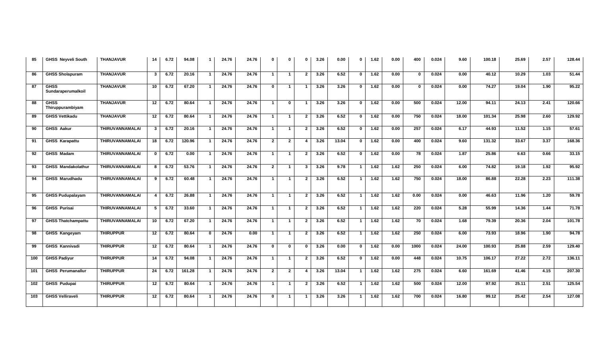| 85  | <b>GHSS Neyveli South</b>         | <b>THANJAVUR</b>       | 14               | 6.72 | 94.08  | $\mathbf{1}$            | 24.76 | 24.76 | $\mathbf{0}$   | $\mathbf{0}$   | $\mathbf{0}$            | 3.26 | 0.00  | $\mathbf{0}$ | 1.62 | 0.00 | 400               | 0.024 | 9.60              | 100.18 | 25.69 | 2.57 | 128.44 |
|-----|-----------------------------------|------------------------|------------------|------|--------|-------------------------|-------|-------|----------------|----------------|-------------------------|------|-------|--------------|------|------|-------------------|-------|-------------------|--------|-------|------|--------|
| 86  | <b>GHSS Sholapuram</b>            | <b>THANJAVUR</b>       | 3                | 6.72 | 20.16  | -1                      | 24.76 | 24.76 | $\mathbf{1}$   | $\mathbf{1}$   | $\overline{2}$          | 3.26 | 6.52  | $\mathbf 0$  | 1.62 | 0.00 | <sup>n</sup>      | 0.024 | 0.00              | 40.12  | 10.29 | 1.03 | 51.44  |
| 87  | <b>GHSS</b><br>Sundaraperumalkoil | <b>THANJAVUR</b>       | 10               | 6.72 | 67.20  | $\overline{\mathbf{1}}$ | 24.76 | 24.76 | $\mathbf{0}$   | $\mathbf{1}$   |                         | 3.26 | 3.26  | <sup>0</sup> | 1.62 | 0.00 | $\Omega$          | 0.024 | 0.00              | 74.27  | 19.04 | 1.90 | 95.22  |
| 88  | <b>GHSS</b><br>Thiruppurambiyam   | <b>THANJAVUR</b>       | 12               | 6.72 | 80.64  | $\overline{\mathbf{1}}$ | 24.76 | 24.76 | $\mathbf{1}$   | $\mathbf{0}$   | $\overline{\mathbf{1}}$ | 3.26 | 3.26  | $\bf{0}$     | 1.62 | 0.00 | 500               | 0.024 | 12.00             | 94.11  | 24.13 | 2.41 | 120.66 |
| 89  | <b>GHSS Vettikadu</b>             | <b>THANJAVUR</b>       | 12               | 6.72 | 80.64  | $\overline{1}$          | 24.76 | 24.76 | $\mathbf{1}$   | $\mathbf{1}$   | $\overline{2}$          | 3.26 | 6.52  | $\mathbf{0}$ | 1.62 | 0.00 | 750               | 0.024 | 18.00             | 101.34 | 25.98 | 2.60 | 129.92 |
| 90  | <b>GHSS Aakur</b>                 | THIRUVANNAMALAI        | $3^{\circ}$      | 6.72 | 20.16  | $\overline{1}$          | 24.76 | 24.76 | $\mathbf{1}$   | $\mathbf{1}$   | $\overline{2}$          | 3.26 | 6.52  | $\mathbf 0$  | 1.62 | 0.00 | 257               | 0.024 | 6.17              | 44.93  | 11.52 | 1.15 | 57.61  |
| 91  | <b>GHSS Karapattu</b>             | <b>THIRUVANNAMALAI</b> | 18               | 6.72 | 120.96 | $\overline{\mathbf{1}}$ | 24.76 | 24.76 | $\overline{2}$ | $\mathbf{2}$   |                         | 3.26 | 13.04 | $\mathbf{0}$ | 1.62 | 0.00 | 400               | 0.024 | 9.60              | 131.32 | 33.67 | 3.37 | 168.36 |
| 92  | GHSS Madam                        | THIRUVANNAMALAI        | $\mathbf{0}$     | 6.72 | 0.00   |                         | 24.76 | 24.76 | $\mathbf{1}$   | $\mathbf{1}$   | $\overline{2}$          | 3.26 | 6.52  | $\mathbf 0$  | 1.62 | 0.00 | 78                | 0.024 | 1.87              | 25.86  | 6.63  | 0.66 | 33.15  |
| 93  | GHSS Mandakolathur                | THIRUVANNAMALAI        | 8                | 6.72 | 53.76  | - 1                     | 24.76 | 24.76 | $\overline{2}$ | - 1            | $\mathbf{3}$            | 3.26 | 9.78  | -1           | 1.62 | 1.62 | 250               | 0.024 | 6.00              | 74.82  | 19.18 | 1.92 | 95.92  |
| 94  | <b>GHSS Marudhadu</b>             | <b>THIRUVANNAMALAI</b> | 9                | 6.72 | 60.48  | - 1                     | 24.76 | 24.76 | $\overline{1}$ | $\overline{1}$ | $\overline{2}$          | 3.26 | 6.52  | $\mathbf{1}$ | 1.62 | 1.62 | 750               | 0.024 | 18.00             | 86.88  | 22.28 | 2.23 | 111.38 |
| 95  | <b>GHSS Pudupalayam</b>           | <b>THIRUVANNAMALAI</b> | $\blacktriangle$ | 6.72 | 26.88  | $\overline{\mathbf{1}}$ | 24.76 | 24.76 | $\overline{1}$ | $\overline{1}$ | $\overline{2}$          | 3.26 | 6.52  | $\mathbf{1}$ | 1.62 | 1.62 | $\overline{0.00}$ | 0.024 | $\overline{0.00}$ | 46.63  | 11.96 | 1.20 | 59.78  |
| 96  | <b>GHSS Purisai</b>               | THIRUVANNAMALAI        | 5                | 6.72 | 33.60  | -1                      | 24.76 | 24.76 | $\mathbf{1}$   | $\mathbf{1}$   | $\overline{2}$          | 3.26 | 6.52  | -1           | 1.62 | 1.62 | 220               | 0.024 | 5.28              | 55.99  | 14.36 | 1.44 | 71.78  |
| 97  | <b>GHSS Thatchampattu</b>         | THIRUVANNAMALAI        | 10 <sup>1</sup>  | 6.72 | 67.20  |                         | 24.76 | 24.76 | $\mathbf{1}$   | $\mathbf{1}$   | $\overline{2}$          | 3.26 | 6.52  | -1           | 1.62 | 1.62 | 70                | 0.024 | 1.68              | 79.39  | 20.36 | 2.04 | 101.78 |
| 98  | GHSS Kangeyam                     | <b>THIRUPPUR</b>       | 12               | 6.72 | 80.64  | $\mathbf{0}$            | 24.76 | 0.00  | $\overline{1}$ | $\overline{1}$ | $\overline{2}$          | 3.26 | 6.52  | $\mathbf{1}$ | 1.62 | 1.62 | 250               | 0.024 | 6.00              | 73.93  | 18.96 | 1.90 | 94.78  |
| 99  | <b>GHSS Kannivadi</b>             | <b>THIRUPPUR</b>       | 12               | 6.72 | 80.64  | $\mathbf{1}$            | 24.76 | 24.76 | $\mathbf 0$    | $\mathbf 0$    | $\mathbf{0}$            | 3.26 | 0.00  | $\mathbf{0}$ | 1.62 | 0.00 | 1000              | 0.024 | 24.00             | 100.93 | 25.88 | 2.59 | 129.40 |
| 100 | <b>GHSS Padiyur</b>               | <b>THIRUPPUR</b>       | 14               | 6.72 | 94.08  | -1                      | 24.76 | 24.76 | $\mathbf{1}$   | $\mathbf{1}$   | $\overline{2}$          | 3.26 | 6.52  | $\mathbf 0$  | 1.62 | 0.00 | 448               | 0.024 | 10.75             | 106.17 | 27.22 | 2.72 | 136.11 |
| 101 | <b>GHSS Perumanallur</b>          | <b>THIRUPPUR</b>       | 24               | 6.72 | 161.28 | -1                      | 24.76 | 24.76 | $\overline{2}$ | $\mathbf{2}$   |                         | 3.26 | 13.04 | $\mathbf 1$  | 1.62 | 1.62 | 275               | 0.024 | 6.60              | 161.69 | 41.46 | 4.15 | 207.30 |
| 102 | <b>GHSS Pudupai</b>               | <b>THIRUPPUR</b>       | 12               | 6.72 | 80.64  |                         | 24.76 | 24.76 | $\mathbf{1}$   | $\mathbf{1}$   | $\overline{2}$          | 3.26 | 6.52  | $\mathbf{1}$ | 1.62 | 1.62 | 500               | 0.024 | 12.00             | 97.92  | 25.11 | 2.51 | 125.54 |
| 103 | <b>GHSS Velliraveli</b>           | <b>THIRUPPUR</b>       | 12               | 6.72 | 80.64  |                         | 24.76 | 24.76 | $\mathbf{0}$   |                |                         | 3.26 | 3.26  | -1           | 1.62 | 1.62 | 700               | 0.024 | 16.80             | 99.12  | 25.42 | 2.54 | 127.08 |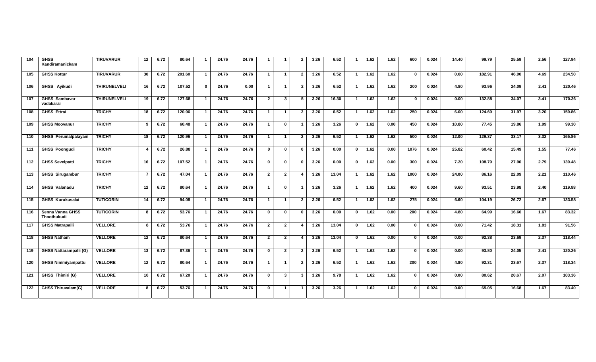| 104 | <b>GHSS</b><br>Kandiramanickam    | <b>TIRUVARUR</b>    | 12 <sub>2</sub> | 6.72 | 80.64  |                         | 24.76 | 24.76 | -1             | -1             | $\overline{2}$ | 3.26 | 6.52              | $\overline{\mathbf{1}}$ | 1.62 | 1.62 | 600              | 0.024 | 14.40 | 99.79  | 25.59 | 2.56              | 127.94 |
|-----|-----------------------------------|---------------------|-----------------|------|--------|-------------------------|-------|-------|----------------|----------------|----------------|------|-------------------|-------------------------|------|------|------------------|-------|-------|--------|-------|-------------------|--------|
| 105 | <b>GHSS Kottur</b>                | <b>TIRUVARUR</b>    | 30              | 6.72 | 201.60 |                         | 24.76 | 24.76 | $\mathbf{1}$   | -1             | $\overline{2}$ | 3.26 | 6.52              | $\mathbf{1}$            | 1.62 | 1.62 | $\Omega$         | 0.024 | 0.00  | 182.91 | 46.90 | 4.69              | 234.50 |
| 106 | GHSS Ayikudi                      | <b>THIRUNELVELI</b> | 16              | 6.72 | 107.52 | $\mathbf{0}$            | 24.76 | 0.00  | $\mathbf{1}$   | -1             | 2              | 3.26 | 6.52              | -1                      | 1.62 | 1.62 | $\overline{200}$ | 0.024 | 4.80  | 93.96  | 24.09 | 2.41              | 120.46 |
| 107 | <b>GHSS Sambavar</b><br>vadakarai | <b>THIRUNELVELI</b> | 19              | 6.72 | 127.68 |                         | 24.76 | 24.76 | $\overline{2}$ | 3              | 5              | 3.26 | 16.30             | $\mathbf{1}$            | 1.62 | 1.62 | $\Omega$         | 0.024 | 0.00  | 132.88 | 34.07 | 3.41              | 170.36 |
| 108 | <b>GHSS Ettrai</b>                | <b>TRICHY</b>       | 18              | 6.72 | 120.96 |                         | 24.76 | 24.76 | $\mathbf{1}$   | -1             | $\overline{2}$ | 3.26 | 6.52              | $\mathbf{1}$            | 1.62 | 1.62 | 250              | 0.024 | 6.00  | 124.69 | 31.97 | 3.20              | 159.86 |
| 109 | <b>GHSS Moovanur</b>              | <b>TRICHY</b>       | 9               | 6.72 | 60.48  |                         | 24.76 | 24.76 | $\mathbf{1}$   | $\mathbf 0$    |                | 3.26 | 3.26              | $\mathbf 0$             | 1.62 | 0.00 | 450              | 0.024 | 10.80 | 77.45  | 19.86 | 1.99              | 99.30  |
| 110 | <b>GHSS Perumalpalayam</b>        | <b>TRICHY</b>       | 18              | 6.72 | 120.96 |                         | 24.76 | 24.76 | $\mathbf{1}$   | -1             | $\overline{2}$ | 3.26 | 6.52              | $\mathbf{1}$            | 1.62 | 1.62 | 500              | 0.024 | 12.00 | 129.37 | 33.17 | 3.32              | 165.86 |
| 111 | <b>GHSS Poonqudi</b>              | <b>TRICHY</b>       | 4               | 6.72 | 26.88  | $\overline{\mathbf{1}}$ | 24.76 | 24.76 | $\mathbf 0$    | $\mathbf 0$    | $\Omega$       | 3.26 | $\overline{0.00}$ | $\mathbf{0}$            | 1.62 | 0.00 | 1076             | 0.024 | 25.82 | 60.42  | 15.49 | 1.55              | 77.46  |
| 112 | <b>GHSS Sevelpatti</b>            | <b>TRICHY</b>       | 16              | 6.72 | 107.52 | $\mathbf 1$             | 24.76 | 24.76 | $\mathbf{0}$   | $\mathbf{0}$   | $\Omega$       | 3.26 | $\overline{0.00}$ | $\mathbf{0}$            | 1.62 | 0.00 | 300              | 0.024 | 7.20  | 108.79 | 27.90 | 2.79              | 139.48 |
| 113 | <b>GHSS Sirugambur</b>            | <b>TRICHY</b>       | $\overline{7}$  | 6.72 | 47.04  | $\mathbf 1$             | 24.76 | 24.76 | $\overline{2}$ | $\overline{2}$ | 4              | 3.26 | 13.04             | -1                      | 1.62 | 1.62 | 1000             | 0.024 | 24.00 | 86.16  | 22.09 | 2.21              | 110.46 |
| 114 | <b>GHSS Valanadu</b>              | <b>TRICHY</b>       | 12              | 6.72 | 80.64  | $\mathbf{1}$            | 24.76 | 24.76 | $\mathbf{1}$   | $\mathbf 0$    | -1             | 3.26 | 3.26              | $\mathbf{1}$            | 1.62 | 1.62 | 400              | 0.024 | 9.60  | 93.51  | 23.98 | 2.40              | 119.88 |
| 115 | <b>GHSS Kurukusalai</b>           | <b>TUTICORIN</b>    | 14              | 6.72 | 94.08  | $\mathbf 1$             | 24.76 | 24.76 | $\mathbf{1}$   | $\mathbf{1}$   | $\overline{2}$ | 3.26 | 6.52              | $\mathbf{1}$            | 1.62 | 1.62 | 275              | 0.024 | 6.60  | 104.19 | 26.72 | 2.67              | 133.58 |
| 116 | Senna Vanna GHSS<br>Thoothukudi   | <b>TUTICORIN</b>    | 8               | 6.72 | 53.76  | $\mathbf 1$             | 24.76 | 24.76 | $\mathbf 0$    | $\mathbf 0$    | $\Omega$       | 3.26 | 0.00              | $\overline{0}$          | 1.62 | 0.00 | $\overline{200}$ | 0.024 | 4.80  | 64.99  | 16.66 | $\overline{1.67}$ | 83.32  |
| 117 | <b>GHSS Matrapalli</b>            | <b>VELLORE</b>      | 8               | 6.72 | 53.76  |                         | 24.76 | 24.76 | $\overline{2}$ | $\overline{2}$ | 4              | 3.26 | 13.04             | $\overline{0}$          | 1.62 | 0.00 | $\mathbf 0$      | 0.024 | 0.00  | 71.42  | 18.31 | 1.83              | 91.56  |
| 118 | <b>GHSS Natham</b>                | <b>VELLORE</b>      | 12              | 6.72 | 80.64  | $\mathbf{1}$            | 24.76 | 24.76 | $\overline{2}$ | $\overline{2}$ |                | 3.26 | 13.04             | $\overline{0}$          | 1.62 | 0.00 | $\bf{0}$         | 0.024 | 0.00  | 92.38  | 23.69 | 2.37              | 118.44 |
| 119 | <b>GHSS Nattarampalli (G)</b>     | <b>VELLORE</b>      | 13              | 6.72 | 87.36  |                         | 24.76 | 24.76 | $\mathbf 0$    | $\overline{2}$ | $\overline{2}$ | 3.26 | 6.52              | $\mathbf{1}$            | 1.62 | 1.62 | $\bf{0}$         | 0.024 | 0.00  | 93.80  | 24.05 | 2.41              | 120.26 |
| 120 | <b>GHSS Nimmiyampattu</b>         | <b>VELLORE</b>      | 12              | 6.72 | 80.64  |                         | 24.76 | 24.76 | $\mathbf{1}$   | -1             | $\overline{2}$ | 3.26 | 6.52              | $\mathbf{1}$            | 1.62 | 1.62 | $\overline{200}$ | 0.024 | 4.80  | 92.31  | 23.67 | 2.37              | 118.34 |
| 121 | GHSS Thimiri (G)                  | <b>VELLORE</b>      | 10              | 6.72 | 67.20  |                         | 24.76 | 24.76 | $\mathbf{0}$   | 3              | 3              | 3.26 | 9.78              | -1                      | 1.62 | 1.62 | $\bf{0}$         | 0.024 | 0.00  | 80.62  | 20.67 | 2.07              | 103.36 |
| 122 | <b>GHSS Thiruvalam(G)</b>         | <b>VELLORE</b>      | 8               | 6.72 | 53.76  |                         | 24.76 | 24.76 | $\mathbf{0}$   | -1             |                | 3.26 | 3.26              | $\overline{1}$          | 1.62 | 1.62 | 0                | 0.024 | 0.00  | 65.05  | 16.68 | 1.67              | 83.40  |